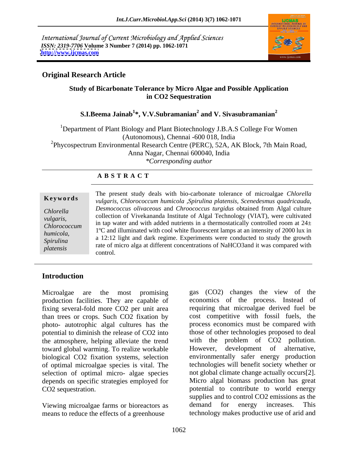International Journal of Current Microbiology and Applied Sciences *ISSN: 2319-7706* **Volume 3 Number 7 (2014) pp. 1062-1071 <http://www.ijcmas.com>**



# **Original Research Article**

# **Study of Bicarbonate Tolerance by Micro Algae and Possible Application in CO2 Sequestration**

# **S.I.Beema Jainab<sup>1</sup> \*, V.V.Subramanian<sup>2</sup> and V. Sivasubramanian<sup>2</sup>**

<sup>1</sup>Department of Plant Biology and Plant Biotechnology J.B.A.S College For Women (Autonomous), Chennai -600 018, India <sup>2</sup>Phycospectrum Environmental Research Centre (PERC), 52A, AK Block, 7th Main Road, Anna Nagar, Chennai 600040, India *\*Corresponding author* 

# **A B S T R A C T**

| Keywords         | The present study deals with bio-carbonate tolerance of microalgae Chlorella<br>vulgaris, Chlorococcum humicola ,Spirulina platensis, Scenedesmus quadricauda, |  |  |
|------------------|----------------------------------------------------------------------------------------------------------------------------------------------------------------|--|--|
| Chlorella        | Desmococcus olivaceous and Chroococcus turgidus obtained from Algal culture                                                                                    |  |  |
| <i>vulgaris,</i> | collection of Vivekananda Institute of Algal Technology (VIAT), were cultivated                                                                                |  |  |
| Chlorococcum     | in tap water and with added nutrients in a thermostatically controlled room at $24\pm$                                                                         |  |  |
| humicola,        | 1 <sup>o</sup> C and illuminated with cool white fluorescent lamps at an intensity of 2000 lux in                                                              |  |  |
| Spirulina        | a 12:12 light and dark regime. Experiments were conducted to study the growth                                                                                  |  |  |
| platensis        | rate of micro alga at different concentrations of NaHCO3 and it was compared with                                                                              |  |  |
|                  | control                                                                                                                                                        |  |  |

# **Introduction**

production facilities. They are capable of fixing several-fold more CO2 per unit area than trees or crops. Such CO2 fixation by photo- autotrophic algal cultures has the potential to diminish the release of CO2 into the atmosphere, helping alleviate the trend toward global warming. To realize workable biological CO2 fixation systems, selection of optimal microalgae species is vital. The selection of optimal micro- algae species depends on specific strategies employed for

means to reduce the effects of a greenhouse

Microalgae are the most promising gas (CO2) changes the view of the CO2 sequestration. potential to contribute to world energy Viewing microalgae farms or bioreactors as demand for energy increases. This economics of the process. Instead of requiring that microalgae derived fuel be cost competitive with fossil fuels, the process economics must be compared with those of other technologies proposed to deal with the problem of CO2 pollution. However, development of alternative, environmentally safer energy production technologies will benefit society whether or not global climate change actually occurs[2]. Micro algal biomass production has great supplies and to control CO2 emissions as the demand for energy increases. This technology makes productive use of arid and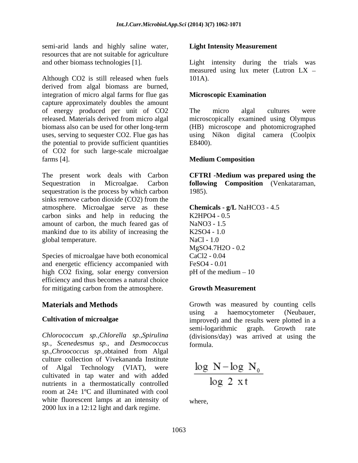semi-arid lands and highly saline water, resources that are not suitable for agriculture

Although CO2 is still released when fuels 101A). derived from algal biomass are burned, integration of micro algal farms for flue gas capture approximately doubles the amount of energy produced per unit of CO2 released. Materials derived from micro algal biomass also can be used for other long-term (HB) microscope and photomicrographed uses, serving to sequester CO2. Flue gas has using Nikon digital camera (Coolpix the potential to provide sufficient quantities E8400). of CO2 for such large-scale microalgae farms [4]. **Medium Composition** 

The present work deals with Carbon **CFTRI -Medium was prepared using the** Sequestration in Microalgae. Carbon **following Composition** (Venkataraman, sequestration is the process by which carbon 1985). sinks remove carbon dioxide (CO2) from the atmosphere. Microalgae serve as these carbon sinks and help in reducing the K2HPO4 - 0.5 amount of carbon, the much feared gas of NaNO3 - 1.5 mankind due to its ability of increasing the K2SO4 - 1.0 global temperature. NaCl - 1.0

Species of microalgae have both economical CaCl<sub>2</sub> - 0.04 and energetic efficiency accompanied with FeSO4 - 0.01 high CO2 fixing, solar energy conversion pH of the medium – 10 efficiency and thus becomes a natural choice for mitigating carbon from the atmosphere.

*sp., Scenedesmus sp.,* and *Desmococcus sp.,Chroococcus sp.,*obtained from Algal culture collection of Vivekananda Institute of Algal Technology (VIAT), were cultivated in tap water and with added nutrients in a thermostatically controlled room at 24± 1ºC and illuminated with cool white fluorescent lamps at an intensity of 2000 lux in a 12:12 light and dark regime.

# **Light Intensity Measurement**

and other biomass technologies [1]. Light intensity during the trials was measured using lux meter (Lutron LX 101A).

# **Microscopic Examination**

The micro algal cultures were microscopically examined using Olympus E8400).

# **Medium Composition**

1985).

```
Chemicals - g/L NaHCO3 - 4.5 
K2HPO4 - 0.5 
NaNO3 - 1.5 
K2SO4 - 1.0 
NaCl - 1.0 
MgSO4.7H2O - 0.2 
CaCl2 - 0.04 
FeSO4 - 0.01 
pH of the medium -10
```
# **Growth Measurement**

**Materials and Methods** Growth was measured by counting cells **Cultivation of microalgae** improved) and the results were plotted in a *Chlorococcum sp.,Chlorella sp.,Spirulina* (divisions/day) was arrived at using the using a haemocytometer (Neubauer, semi-logarithmic graph. Growth rate formula.

$$
\frac{\log N - \log N_0}{\log 2 \, \, xt}
$$

where,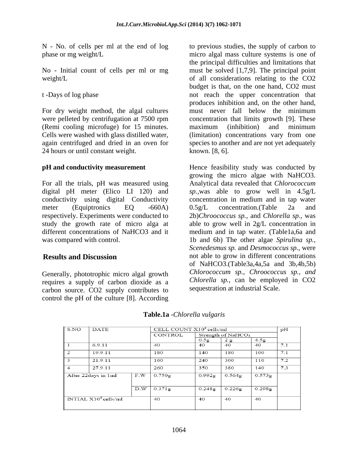No - Initial count of cells per ml or mg

For dry weight method, the algal cultures must never fall below the minimum were pelleted by centrifugation at 7500 rpm (Remi cooling microfuge) for 15 minutes. 24 hours or until constant weight.

conductivity using digital Conductivity

Generally, phototrophic micro algal growth requires a supply of carbon dioxide as a carbon source. CO2 supply contributes to control the pH of the culture [8]. According

N - No. of cells per ml at the end of log to previous studies, the supply of carbon to phase or mg weight/L micro algal mass culture systems is one of weight/L of all considerations relating to the CO2 t -Days of log phase not reach the upper concentration that Cells were washed with glass distilled water, (limitation) concentrations vary from one again centrifuged and dried in an oven for species to another and are not yet adequately the principal difficulties and limitations that must be solved [1,7,9]. The principal point budget is that, on the one hand, CO2 must produces inhibition and, on the other hand, must never fall below the minimum concentration that limits growth [9]. These maximum (inhibition) and minimum known. [8, 6].

**pH and conductivity measurement**  Hence feasibility study was conducted by For all the trials, pH was measured using Analytical data revealed that*Chlorococcum*  digital pH meter (Elico LI 120) and *sp.,*was able to grow well in 4.5g/L meter (Equiptronics EQ -660A) 0.5g/L concentration. (Table 2a and respectively. Experiments were conducted to 2b)*Chroococcus sp.,* and *Chlorella sp.,* was study the growth rate of micro alga at able to grow well in 2g/L concentration in different concentrations of NaHCO3 and it medium and in tap water. (Table1a,6a and was compared with control. 1b and 6b) The other algae *Spirulina sp.,* **Results and Discussion** not able to grow in different concentrations growing the micro algae with NaHCO3. concentration in medium and in tap water 0.5g/L concentration.(Table 2a and *Scenedesmus sp.* and *Desmococcus sp.,* were of NaHCO3.(Table3a,4a,5a and 3b,4b,5b) *Chlorococcum sp., Chroococcus sp., and Chlorella sp.,* can be employed in CO2 sequestration at industrial Scale.

| S.NO                    | <b>DATE</b>         |     | CELL COUNT $X104$ cells/ml |                  |                                |                  | pН  |
|-------------------------|---------------------|-----|----------------------------|------------------|--------------------------------|------------------|-----|
|                         |                     |     | CONTROL                    |                  | Strength of NaHCO <sub>3</sub> |                  |     |
|                         |                     |     |                            | 0.5 <sub>g</sub> | 2g                             | 4.5 <sub>g</sub> |     |
|                         | 6.9.11              |     | 40                         | 40               | 40                             | 40               | 7.1 |
| 2                       | 19.9.11             |     | 180                        | 140              | 180                            | 100              | 7.1 |
| 3                       | 21.9.11             |     | 160                        | 240              | 300                            | 110              | 7.2 |
| $\overline{4}$          | 27.9.11             |     | 260                        | 350              | 380                            | 140              | 7.3 |
|                         | After 22days in 1ml | F.W | 0.750g                     | 0.992g           | 0.564g                         | 0.573g           |     |
|                         |                     | D.W | 0.371g                     | 0.248g           | 0.226g                         | 0.298g           |     |
| INTIAL $X10^4$ cells/ml |                     |     | 40                         | 40               | 40                             | 40               |     |

# **Table.1a** -*Chlorella vulgaris*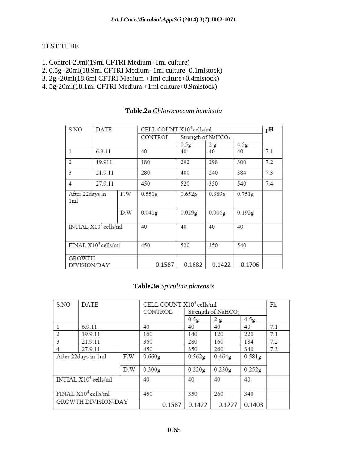# TEST TUBE

- 1. Control-20ml(19ml CFTRI Medium+1ml culture)
- 2. 0.5g -20ml(18.9ml CFTRI Medium+1ml culture+0.1mlstock)
- 3. 2g -20ml(18.6ml CFTRI Medium +1ml culture+0.4mlstock)
- 4. 5g-20ml(18.1ml CFTRI Medium +1ml culture+0.9mlstock)

| S.NO                                      | DATE    |     | CELL COUNT X10 <sup>4</sup> cells/ml |                    |                    |                    | pH  |
|-------------------------------------------|---------|-----|--------------------------------------|--------------------|--------------------|--------------------|-----|
|                                           |         |     | CONTROL                              |                    | Strength of NaHCO3 |                    |     |
|                                           |         |     |                                      | 0.5g               | 2g                 | 4.5 <sub>g</sub>   |     |
| 1                                         | 6.9.11  |     | 40                                   | 40                 | 40                 | 40                 | 7.1 |
| 2                                         | 19.911  |     | 180                                  | 292                | 298                | 300                | 7.2 |
| 3                                         | 21.9.11 |     | 280                                  | 400                | 240                | 384                | 7.3 |
| 4                                         | 27.9.11 |     | 450                                  | 520                | 350                | 540                | 7.4 |
| After 22days in<br>1ml                    |         | F.W | 0.551g                               | 0.652g             | 0.389g             | 0.751g             |     |
|                                           |         | D.W | 0.041g                               | 0.029 <sub>g</sub> | 0.006g             | 0.192 <sub>g</sub> |     |
| $\overline{\text{INTIAL X10}^4}$ cells/ml |         | 40  | 40                                   | 40                 | 40                 |                    |     |
| $\text{FINAL X10}^4$ cells/ml             |         | 450 | 520                                  | 350                | 540                |                    |     |
| GROWTH                                    |         |     |                                      |                    |                    |                    |     |
| DIVISION/DAY                              |         |     | 0.1587                               | 0.1682             | 0.1422             | 0.1706             |     |

### **Table.2a** *Chlorococcum humicola*

# **Table.3a** *Spirulina platensis*

| S.NO                    | <b>DATE</b>                |     |         |        | CELL COUNT X10 <sup>4</sup> cells/ml |                    |        | Ph  |  |
|-------------------------|----------------------------|-----|---------|--------|--------------------------------------|--------------------|--------|-----|--|
|                         |                            |     | CONTROL |        |                                      | Strength of NaHCO3 |        |     |  |
|                         |                            |     |         |        | 0.5g                                 | 2g                 | 4.5g   |     |  |
|                         | 6.9.11                     |     | 40      |        | 40                                   | 40                 | 40     | 7.1 |  |
| 2                       | 19.9.11                    |     | 160     |        | 140                                  | 120                | 220    | 7.1 |  |
| 3                       | 21.9.11                    |     | 360     |        | 280                                  | 160                | 184    | 7.2 |  |
| 4                       | 27.9.11                    |     |         | 450    |                                      | 260                | 340    | 7.3 |  |
|                         | After 22days in 1ml<br>F.W |     |         | 0.660g | 0.562g                               | 0.464g             | 0.581g |     |  |
|                         |                            | D.W | 0.300g  |        | 0.220g                               | 0.230g             | 0.252g |     |  |
| INTIAL $X10^4$ cells/ml |                            |     | 40      |        | 40                                   | 40                 | 40     |     |  |
| FINAL $X10^4$ cells/ml  |                            |     | 450     |        | 350                                  | 260                | 340    |     |  |
|                         | GROWTH DIVISION/DAY        |     |         | 0.1587 | 0.1422                               | 0.1227             | 0.1403 |     |  |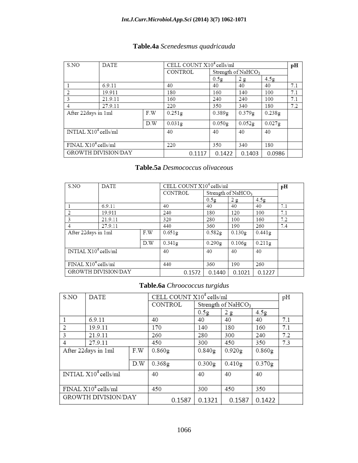| Table.4a Scenedesmus quadricauda |  |
|----------------------------------|--|
|                                  |  |

| S.NO                   | <b>DATE</b>                |     |                    |        | CELL COUNT $X10^4$ cells/ml    |        |                  | pН  |
|------------------------|----------------------------|-----|--------------------|--------|--------------------------------|--------|------------------|-----|
|                        |                            |     | <b>CONTROL</b>     |        | Strength of NaHCO <sub>3</sub> |        |                  |     |
|                        |                            |     |                    |        | 0.5g                           | 2g     | 4.5 <sub>g</sub> |     |
|                        | 6.9.11                     |     | 40                 |        | 40                             | 40     | 40               | 7.1 |
|                        | 19.911                     |     | 180                |        | 160                            | 140    | 100              | 7.1 |
| 3                      | 21.9.11                    |     | 160                |        | 240                            | 240    | 100              | 7.1 |
| 4                      | 27.9.11                    |     | 220                |        | 350                            | 340    | 180              | 7.2 |
| After 22days in 1ml    |                            | F.W | 0.251 <sub>g</sub> |        | 0.389g                         | 0.379g | 0.238g           |     |
|                        |                            | D.W | 0.031g             |        | 0.050g                         | 0.052g | 0.027g           |     |
| $NTIAL X104$ cells/ml  | 40                         |     | 40                 | 40     | 40                             |        |                  |     |
| FINAL $X10^4$ cells/ml |                            |     | 220                |        | 350                            | 340    | 180              |     |
|                        | <b>GROWTH DIVISION/DAY</b> |     |                    | 0.1117 | 0.1422                         | 0.1403 | 0.0986           |     |

# **Table.5a** *Desmococcus olivaceous*

| S.NO                  | <b>DATE</b>                   |     |                |        | CELL COUNT X10 <sup>4</sup> cells/ml |                                |           | pН  |
|-----------------------|-------------------------------|-----|----------------|--------|--------------------------------------|--------------------------------|-----------|-----|
|                       |                               |     | <b>CONTROL</b> |        |                                      | Strength of NaHCO <sub>3</sub> |           |     |
|                       |                               |     |                |        | 0.5g                                 | 2g                             | 4.5g      |     |
|                       | 6.9.11                        |     | 40             |        | 40                                   | 40                             | 40        | 7.1 |
| 2                     | 19.911                        |     | 240            |        | 180                                  | 120                            | 100       | 7.1 |
| 3                     | 21.9.11                       |     | 320            |        | 280                                  | 100                            | 160       | 7.2 |
| 4                     | 27.9.11                       |     | 440            |        | 360                                  | 190                            | 260       | 7.4 |
| After 22 days in 1 ml |                               | F.W | 0.651g         |        | 0.582g                               | 0.130g                         | 0.441g    |     |
|                       |                               | D.W | 0.341g         |        | 0.290g                               | 0.106g                         | $0.211$ g |     |
|                       | INTIAL $X10^4$ cells/ml       |     | 40             |        | 40                                   | 40                             | 40        |     |
|                       | $\text{FINAL X10}^4$ cells/ml |     | 440            |        | 360                                  | 190                            | 260       |     |
|                       | <b>GROWTH DIVISION/DAY</b>    |     |                | 0.1572 | 0.1440                               | 0.1021                         | 0.1227    |     |

# **Table.6a** *Chroococcus turgidus*

| S.NO                          | <b>DATE</b>         |     |         |        | CELL COUNT X10 <sup>4</sup> cells/ml |        |                  | pH  |
|-------------------------------|---------------------|-----|---------|--------|--------------------------------------|--------|------------------|-----|
|                               |                     |     | CONTROL |        | Strength of NaHCO <sub>3</sub>       |        |                  |     |
|                               |                     |     |         |        | 0.5g                                 | 2g     | 4.5 <sub>g</sub> |     |
| 1                             | 6.9.11              | 40  |         | 40     | 40                                   | 40     | 7.1              |     |
| 2                             | 19.9.11             |     |         |        | 140                                  | 180    | 160              | 7.1 |
| 3                             | 21.9.11             |     | 260     |        | 280                                  | 300    | 240              | 7.2 |
| 4                             | 27.9.11             |     |         | 450    |                                      | 450    | 350              | 7.3 |
|                               | After 22days in 1ml | F.W | 0.860g  |        | 0.840g                               | 0.920g | 0.860g           |     |
|                               |                     | D.W | 0.368g  |        | 0.300g                               | 0.410g | 0.370g           |     |
| INTIAL $X10^4$ cells/ml       |                     |     | 40      |        | 40                                   | 40     | 40               |     |
| $\text{FINAL X10}^4$ cells/ml |                     |     | 450     |        | 300                                  | 450    | 350              |     |
|                               | GROWTH DIVISION/DAY |     |         | 0.1587 | 0.1321                               | 0.1587 | 0.1422           |     |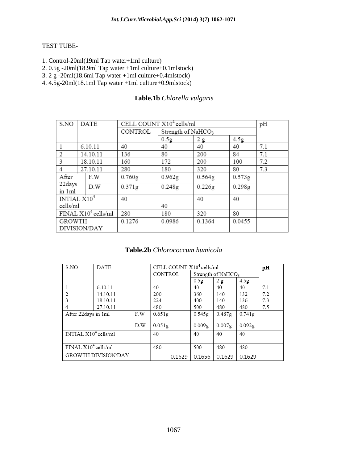### TEST TUBE-

- 1. Control-20ml(19ml Tap water+1ml culture)
- 2. 0.5g -20ml(18.9ml Tap water +1ml culture+0.1mlstock)
- 3. 2 g -20ml(18.6ml Tap water +1ml culture+0.4mlstock)
- 4. 4.5g-20ml(18.1ml Tap water +1ml culture+0.9mlstock)

# **Table.1b** *Chlorella vulgaris*

| S.NO                  |               | DATE         | CELL COUNT $X10^4$ cells/ml |                    |                                |                  | pH  |
|-----------------------|---------------|--------------|-----------------------------|--------------------|--------------------------------|------------------|-----|
|                       |               |              | CONTROL                     |                    | Strength of NaHCO <sub>3</sub> |                  |     |
|                       |               |              |                             | 0.5g               | 2g                             | 4.5 <sub>g</sub> |     |
|                       |               | 6.10.11      | 40                          | 40                 | 40                             | 40               | 7.1 |
| 2                     | 14.10.11      |              | 136                         | 80                 | 200                            | 84               | 7.1 |
| 3                     | 18.10.11      |              | 160                         | 172                | 200                            | 100              | 7.2 |
| 4                     | 27.10.11      |              | 280                         | 180                | 320                            | 80               | 7.3 |
| After                 |               | F.W          | 0.760g                      | 0.962 <sub>g</sub> | 0.564 <sub>g</sub>             | 0.573g           |     |
| 22days<br>in 1ml      | D.W           |              | 0.371g                      | 0.248g             | 0.226g                         | 0.298g           |     |
| INTIAL $X104$         |               |              | 40                          |                    | 40                             | 40               |     |
| cells/ml              |               |              |                             | 40                 |                                |                  |     |
| $FINAL X104$ cells/ml |               |              | 280                         | 180                | 320                            | 80               |     |
|                       | <b>GROWTH</b> |              | 0.1276                      | 0.0986             | 0.1364                         | 0.0455           |     |
|                       |               | DIVISION/DAY |                             |                    |                                |                  |     |

### **Table.2b** *Chlorococcum humicola*

| S.NO                    | DATE                       |     |        |         | CELL COUNT X10 <sup>4</sup> cells/ml |                    |                  | pН  |  |
|-------------------------|----------------------------|-----|--------|---------|--------------------------------------|--------------------|------------------|-----|--|
|                         |                            |     |        | CONTROL |                                      | Strength of NaHCO3 |                  |     |  |
|                         |                            |     |        |         | 0.5 <sub>g</sub>                     | 2g                 | 4.5 <sub>g</sub> |     |  |
|                         | 6.10.11                    |     | 40     |         | 40                                   | 40                 | 40               | 7.1 |  |
| 2                       | 14.10.11                   |     | 200    |         | 360                                  | 140                | 132              | 7.2 |  |
| 3                       | 18.10.11                   |     | 224    |         | 400                                  | 140                | 136              | 7.3 |  |
| $\overline{4}$          | 27.10.11                   |     | 480    |         | 500                                  | 480                | 480              | 7.5 |  |
| After 22 days in 1 ml   |                            | F.W | 0.651g |         | 0.545g                               | $0.487$ g          | 0.741g           |     |  |
|                         |                            | D.W | 0.051g |         | 0.009g                               | 0.007g             | 0.092g           |     |  |
| INTIAL $X10^4$ cells/ml |                            |     | 40     |         | 40                                   | 40                 | 40               |     |  |
| FINAL $X10^4$ cells/ml  |                            |     | 480    |         | 500                                  | 480                | 480              |     |  |
|                         | <b>GROWTH DIVISION/DAY</b> |     |        | 0.1629  | 0.1656                               | 0.1629             | 0.1629           |     |  |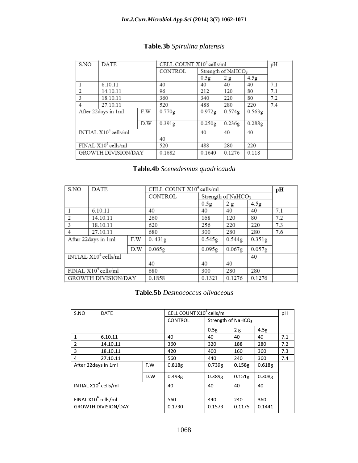| S.NO                            | <b>DATE</b>                |     | CELL COUNT X10 <sup>4</sup> cells/ml |        |                                |                  | pH  |
|---------------------------------|----------------------------|-----|--------------------------------------|--------|--------------------------------|------------------|-----|
|                                 |                            |     | <b>CONTROL</b>                       |        | Strength of NaHCO <sub>3</sub> |                  |     |
|                                 |                            |     |                                      | 0.5g   | 2g                             | 4.5 <sub>g</sub> |     |
|                                 | 6.10.11                    |     | 40                                   | 40     | 40                             | 40               | 7.1 |
| 2                               | 14.10.11                   |     | 96                                   | 212    | 120                            | 80               | 7.1 |
| 3                               | 18.10.11                   |     | 360                                  | 340    | 220                            | 80               | 7.2 |
| 4                               | 27.10.11                   |     | 520                                  | 488    | 280                            | 220              | 7.4 |
|                                 | After 22days in 1ml        | F.W | 0.770g                               | 0.972g | 0.574g                         | 0.563g           |     |
|                                 |                            | D.W | 0.391g                               | 0.250g | 0.236g                         | 0.288g           |     |
|                                 | INTIAL $X10^4$ cells/ml    |     |                                      | 40     | 40                             | 40               |     |
|                                 |                            |     | 40                                   |        |                                |                  |     |
| FINAL X10 <sup>4</sup> cells/ml |                            |     | 520                                  | 488    | 280                            | 220              |     |
|                                 | <b>GROWTH DIVISION/DAY</b> |     | 0.1682                               | 0.1640 | 0.1276                         | 0.118            |     |

# **Table.3b** *Spirulina platensis*

# **Table.4b** *Scenedesmus quadricauda*

| S.NO                            | <b>DATE</b>                               |     | CELL COUNT X10 <sup>4</sup> cells/ml |        |                    |        | pН  |
|---------------------------------|-------------------------------------------|-----|--------------------------------------|--------|--------------------|--------|-----|
|                                 |                                           |     | <b>CONTROL</b>                       |        | Strength of NaHCO3 |        |     |
|                                 |                                           |     |                                      | 0.5g   | 2g                 | 4.5g   |     |
|                                 | 6.10.11                                   |     | 40                                   | 40     | 40                 | 40     | 7.1 |
| $\overline{c}$                  | 14.10.11                                  |     | 260                                  | 168    | 120                | 80     | 7.2 |
| 3                               | 18.10.11                                  |     | 620                                  | 256    | 220                | 220    | 7.3 |
| 4                               | 27.10.11                                  |     | 680                                  | 300    | 280                | 280    | 7.6 |
|                                 | After 22days in 1ml                       | F.W | 0.431g                               | 0.545g | 0.544g             | 0.351g |     |
|                                 |                                           | D.W | 0.065g                               | 0.095g | 0.067 <sub>g</sub> | 0.057g |     |
|                                 | $\overline{\text{INTIAL X10}^4}$ cells/ml |     |                                      |        |                    | 40     |     |
|                                 |                                           |     | 40                                   | 40     | 40                 |        |     |
| FINAL X10 <sup>4</sup> cells/ml |                                           |     | 680                                  | 300    | 280                | 280    |     |
|                                 | <b>GROWTH DIVISION/DAY</b>                |     | 0.1858                               | 0.1321 | 0.1276             | 0.1276 |     |

### **Table.5b** *Desmococcus olivaceous*

| S.NO                             | <b>DATE</b> |        | CELL COUNT X10 <sup>4</sup> cells/ml |                                |        |        | рH  |
|----------------------------------|-------------|--------|--------------------------------------|--------------------------------|--------|--------|-----|
|                                  |             |        | <b>CONTROL</b>                       | Strength of NaHCO <sub>3</sub> |        |        |     |
|                                  |             |        |                                      | 0.5g                           | 2g     | 4.5g   |     |
| 1                                | 6.10.11     |        | 40                                   | 40                             | 40     | 40     | 7.1 |
| $\overline{2}$                   | 14.10.11    |        | 360                                  | 320                            | 188    | 280    | 7.2 |
| 3                                | 18.10.11    |        | 420                                  | 400                            | 160    | 360    | 7.3 |
| 4                                | 27.10.11    |        | 560                                  | 440                            | 240    | 360    | 7.4 |
| After 22 days in 1 ml<br>F.W     |             | 0.818g | 0.739g                               | 0.158g                         | 0.618g |        |     |
|                                  |             | D.W    | 0.493g                               | 0.389g                         | 0.151g | 0.308g |     |
| INTIAL X10 <sup>4</sup> cells/ml |             |        | 40                                   | 40                             | 40     | 40     |     |
| FINAL X10 <sup>4</sup> cells/ml  |             |        | 560                                  | 440                            | 240    | 360    |     |
| <b>GROWTH DIVISION/DAY</b>       |             |        | 0.1730                               | 0.1573                         | 0.1175 | 0.1441 |     |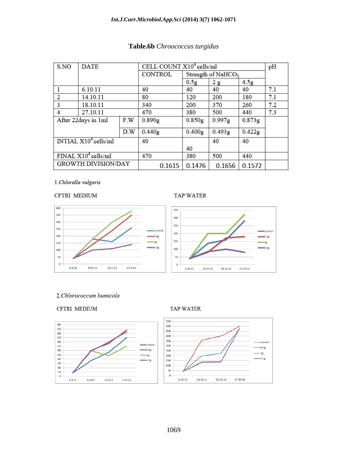### *Int.J.Curr.Microbiol.App.Sci* **(2014) 3(7) 1062-1071**

| S.NO                            | <b>DATE</b> |        | CELL COUNT X10 <sup>4</sup> cells/ml | pH                 |        |                  |     |
|---------------------------------|-------------|--------|--------------------------------------|--------------------|--------|------------------|-----|
|                                 |             |        | <b>CONTROL</b>                       | Strength of NaHCO3 |        |                  |     |
|                                 |             |        |                                      | 0.5g               | 2g     | 4.5 <sub>g</sub> |     |
| 1                               | 6.10.11     |        | 40                                   | 40                 | 40     | 40               | 7.1 |
| 2                               | 14.10.11    |        | 80                                   | 120                | 200    | 180              | 7.1 |
| 3                               | 18.10.11    |        | 340                                  | 200                | 370    | 260              | 7.2 |
| 4                               | 27.10.11    |        | 470                                  | 380                | 500    | 440              | 7.3 |
| After 22days in 1ml<br>F.W      |             | 0.890g | 0.850g                               | 0.997g             | 0.873g |                  |     |
| D.W                             |             | 0.440g | 0.400 <sub>g</sub>                   | 0.493g             | 0.422g |                  |     |
| INTIAL $X10^4$ cells/ml         |             |        | 40                                   |                    | 40     | 40               |     |
|                                 |             |        |                                      | 40                 |        |                  |     |
| FINAL X10 <sup>4</sup> cells/ml |             |        | 470                                  | 380                | 500    | 440              |     |
| <b>GROWTH DIVISION/DAY</b>      |             |        | 0.1615                               | 0.1476             | 0.1656 | 0.1572           |     |

# **Table.6b** *Chroococcus turgidus*

1.Chlorella vulgaris

#### CFTRI MEDIUM

#### TAP WATER

0.5g

2g

4.5g



#### 2.Chlorococcum humicola





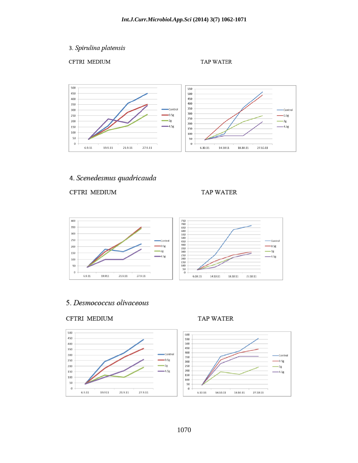3. Spirulina platensis

CFTRI MEDIUM

**TAP WATER** 



# 4. Scenedesmus quadricauda

CFTRI MEDIUM

TAP WATER



# 5. Desmococcus olivaceous

#### CFTRI MEDIUM